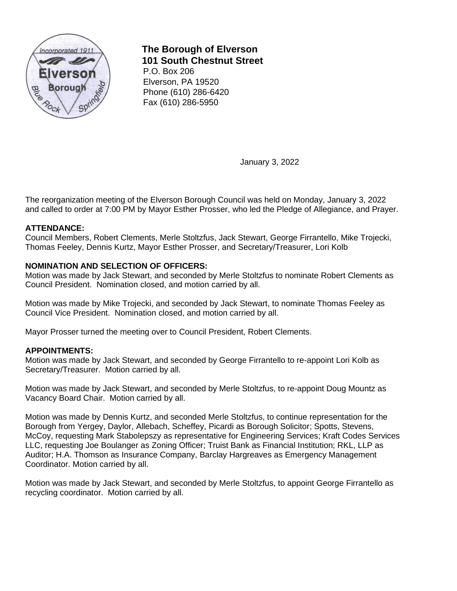

**The Borough of Elverson 101 South Chestnut Street** 

P.O. Box 206 Elverson, PA 19520 Phone (610) 286-6420 Fax (610) 286-5950

January 3, 2022

The reorganization meeting of the Elverson Borough Council was held on Monday, January 3, 2022 and called to order at 7:00 PM by Mayor Esther Prosser, who led the Pledge of Allegiance, and Prayer.

# **ATTENDANCE:**

Council Members, Robert Clements, Merle Stoltzfus, Jack Stewart, George Firrantello, Mike Trojecki, Thomas Feeley, Dennis Kurtz, Mayor Esther Prosser, and Secretary/Treasurer, Lori Kolb

## **NOMINATION AND SELECTION OF OFFICERS:**

Motion was made by Jack Stewart, and seconded by Merle Stoltzfus to nominate Robert Clements as Council President. Nomination closed, and motion carried by all.

Motion was made by Mike Trojecki, and seconded by Jack Stewart, to nominate Thomas Feeley as Council Vice President. Nomination closed, and motion carried by all.

Mayor Prosser turned the meeting over to Council President, Robert Clements.

### **APPOINTMENTS:**

Motion was made by Jack Stewart, and seconded by George Firrantello to re-appoint Lori Kolb as Secretary/Treasurer. Motion carried by all.

Motion was made by Jack Stewart, and seconded by Merle Stoltzfus, to re-appoint Doug Mountz as Vacancy Board Chair. Motion carried by all.

Motion was made by Dennis Kurtz, and seconded Merle Stoltzfus, to continue representation for the Borough from Yergey, Daylor, Allebach, Scheffey, Picardi as Borough Solicitor; Spotts, Stevens, McCoy, requesting Mark Stabolepszy as representative for Engineering Services; Kraft Codes Services LLC, requesting Joe Boulanger as Zoning Officer; Truist Bank as Financial Institution; RKL, LLP as Auditor; H.A. Thomson as Insurance Company, Barclay Hargreaves as Emergency Management Coordinator. Motion carried by all.

Motion was made by Jack Stewart, and seconded by Merle Stoltzfus, to appoint George Firrantello as recycling coordinator. Motion carried by all.